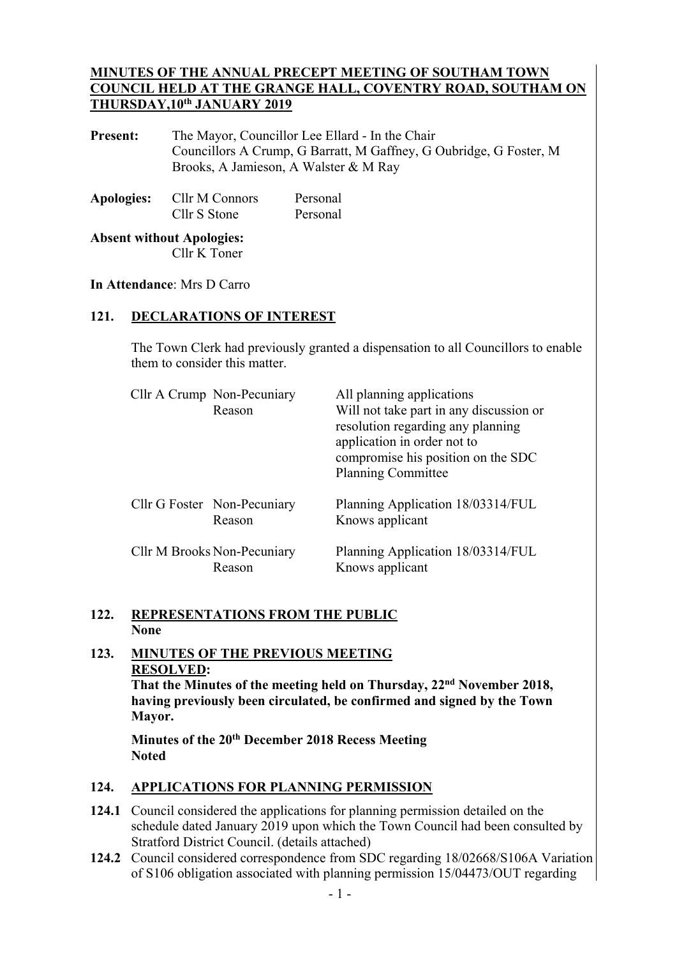### **MINUTES OF THE ANNUAL PRECEPT MEETING OF SOUTHAM TOWN COUNCIL HELD AT THE GRANGE HALL, COVENTRY ROAD, SOUTHAM ON THURSDAY,10th JANUARY 2019**

**Present:** The Mayor, Councillor Lee Ellard - In the Chair Councillors A Crump, G Barratt, M Gaffney, G Oubridge, G Foster, M Brooks, A Jamieson, A Walster & M Ray

| <b>Apologies:</b> | Cllr M Connors | Personal |
|-------------------|----------------|----------|
|                   | Cllr S Stone   | Personal |

**Absent without Apologies:**  Cllr K Toner

#### **In Attendance**: Mrs D Carro

## **121. DECLARATIONS OF INTEREST**

The Town Clerk had previously granted a dispensation to all Councillors to enable them to consider this matter.

| Cllr A Crump Non-Pecuniary<br>Reason  | All planning applications<br>Will not take part in any discussion or<br>resolution regarding any planning<br>application in order not to<br>compromise his position on the SDC<br><b>Planning Committee</b> |
|---------------------------------------|-------------------------------------------------------------------------------------------------------------------------------------------------------------------------------------------------------------|
| Cllr G Foster Non-Pecuniary<br>Reason | Planning Application 18/03314/FUL<br>Knows applicant                                                                                                                                                        |
| Cllr M Brooks Non-Pecuniary<br>Reason | Planning Application 18/03314/FUL<br>Knows applicant                                                                                                                                                        |

### **122. REPRESENTATIONS FROM THE PUBLIC None**

# **123. MINUTES OF THE PREVIOUS MEETING RESOLVED:**

**That the Minutes of the meeting held on Thursday, 22nd November 2018, having previously been circulated, be confirmed and signed by the Town Mayor.** 

**Minutes of the 20th December 2018 Recess Meeting Noted** 

#### **124. APPLICATIONS FOR PLANNING PERMISSION 124.**

- **124.1** Council considered the applications for planning permission detailed on the schedule dated January 2019 upon which the Town Council had been consulted by Stratford District Council. (details attached)
- **124.2** Council considered correspondence from SDC regarding 18/02668/S106A Variation of S106 obligation associated with planning permission 15/04473/OUT regarding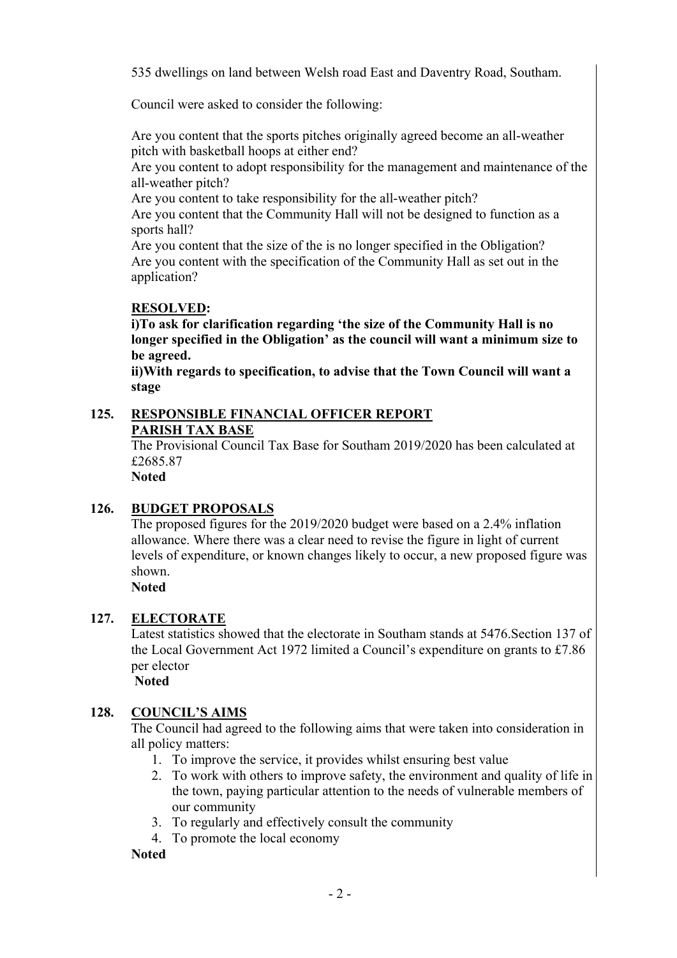535 dwellings on land between Welsh road East and Daventry Road, Southam.

Council were asked to consider the following:

 Are you content that the sports pitches originally agreed become an all-weather pitch with basketball hoops at either end?

 Are you content to adopt responsibility for the management and maintenance of the all-weather pitch?

Are you content to take responsibility for the all-weather pitch?

 Are you content that the Community Hall will not be designed to function as a sports hall?

 Are you content that the size of the is no longer specified in the Obligation? Are you content with the specification of the Community Hall as set out in the application?

# **RESOLVED:**

 **i)To ask for clarification regarding 'the size of the Community Hall is no longer specified in the Obligation' as the council will want a minimum size to be agreed.** 

 **ii)With regards to specification, to advise that the Town Council will want a stage** 

### **125. RESPONSIBLE FINANCIAL OFFICER REPORT PARISH TAX BASE**

 The Provisional Council Tax Base for Southam 2019/2020 has been calculated at £2685.87

**Noted**

## **126. BUDGET PROPOSALS**

The proposed figures for the 2019/2020 budget were based on a 2.4% inflation allowance. Where there was a clear need to revise the figure in light of current levels of expenditure, or known changes likely to occur, a new proposed figure was shown.

**Noted**

## **127. ELECTORATE**

Latest statistics showed that the electorate in Southam stands at 5476.Section 137 of the Local Government Act 1972 limited a Council's expenditure on grants to £7.86 per elector

 **Noted** 

## **128. COUNCIL'S AIMS**

The Council had agreed to the following aims that were taken into consideration in all policy matters:

- 1. To improve the service, it provides whilst ensuring best value
- 2. To work with others to improve safety, the environment and quality of life in the town, paying particular attention to the needs of vulnerable members of our community
- 3. To regularly and effectively consult the community
- 4. To promote the local economy

**Noted**